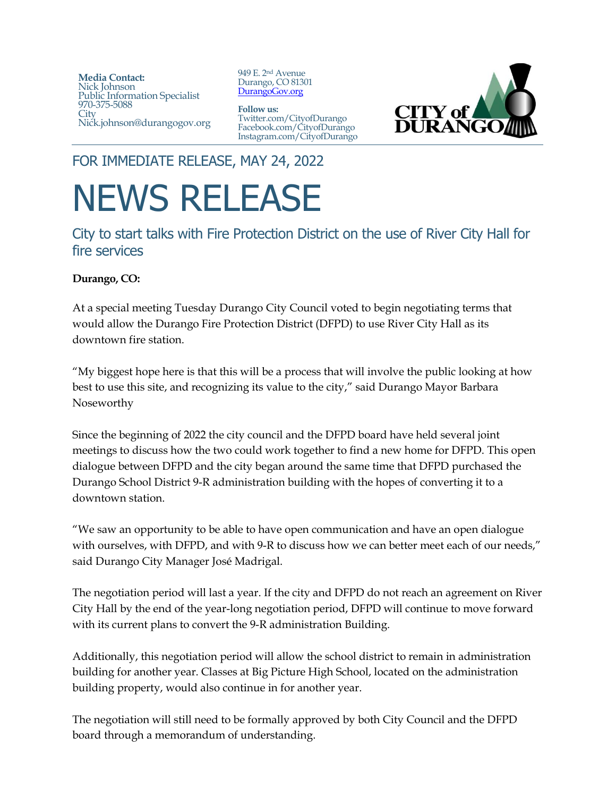**Media Contact:**  Nick Johnson Public Information Specialist 970-375-5088 **City** Nick.johnson@durangogov.org

949 E. 2nd Avenue Durango, CO 81301 [DurangoGov.org](https://www.durangogov.org/)

**Follow us:** Twitter.com/CityofDurango Facebook.com/CityofDurango Instagram.com/CityofDurango



FOR IMMEDIATE RELEASE, MAY 24, 2022

## NEWS RELEASE

City to start talks with Fire Protection District on the use of River City Hall for fire services

## **Durango, CO:**

At a special meeting Tuesday Durango City Council voted to begin negotiating terms that would allow the Durango Fire Protection District (DFPD) to use River City Hall as its downtown fire station.

"My biggest hope here is that this will be a process that will involve the public looking at how best to use this site, and recognizing its value to the city," said Durango Mayor Barbara Noseworthy

Since the beginning of 2022 the city council and the DFPD board have held several joint meetings to discuss how the two could work together to find a new home for DFPD. This open dialogue between DFPD and the city began around the same time that DFPD purchased the Durango School District 9-R administration building with the hopes of converting it to a downtown station.

"We saw an opportunity to be able to have open communication and have an open dialogue with ourselves, with DFPD, and with 9-R to discuss how we can better meet each of our needs," said Durango City Manager José Madrigal.

The negotiation period will last a year. If the city and DFPD do not reach an agreement on River City Hall by the end of the year-long negotiation period, DFPD will continue to move forward with its current plans to convert the 9-R administration Building.

Additionally, this negotiation period will allow the school district to remain in administration building for another year. Classes at Big Picture High School, located on the administration building property, would also continue in for another year.

The negotiation will still need to be formally approved by both City Council and the DFPD board through a memorandum of understanding.